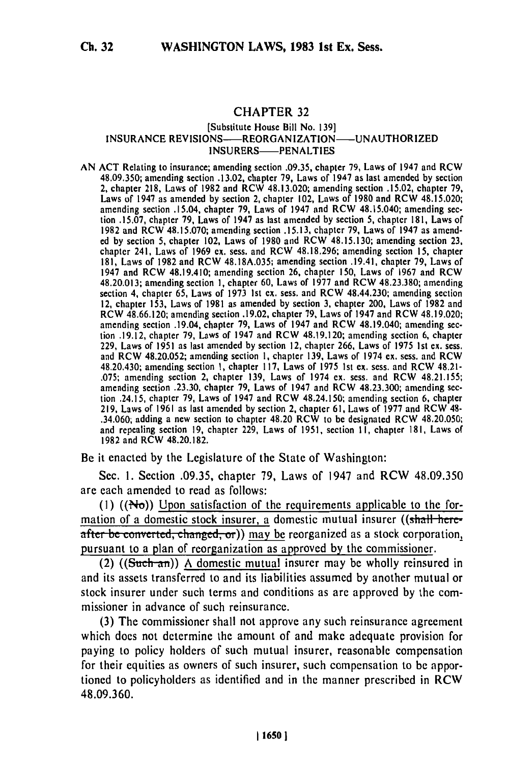## CHAPTER **32**

## [Substitute House Bill No. **139]** INSURANCE REVISIONS-REORGANIZATION- UNAUTHORIZED INSURERS-PENALTIES

AN ACT Relating to insurance; amending section .09.35, chapter **79,** Laws of 1947 and RCW **48.09.350;** amending section **.13.02,** chapter **79,** Laws of 1947 as last amended **by** section 2, chapter **218,** Laws of **1982** and RCW 48.13.020; amending section **.15.02,** chapter **79,** Laws of 1947 as amended **by** section 2, chapter 102, Laws of **1980** and RCW 48.15.020; amending section .15.04, chapter **79,** Laws of 1947 and RCW 48.15.040; amending sec amending section .15.04, chapter 79, Laws of 1947 and RCW 48.15.040; amending section .15.07, chapter 79, Laws of 1947 as last amended by section 5, chapter 181, Laws of **1982** and RCW **48.15.070;** amending section **.15.13,** chapter **79,** Laws of 1947 as amended **by** section **5,** chapter 102, Laws of **1980** and RCW **48.15.130;** amending section **23,** chapter 241, Laws of **1969 ex.** sess. and RCW **48.18.296;** amending section **15,** chapter **181,** Laws of **1982** and RCW **48.18A.035;** amending section .19.41, chapter **79,** Laws of 1947 and RCW 48.19.410; amending section **26, chapter 150, Laws of 1967** and RCW 48.19.410; amending section 26, chapter 150, Laws of 1967 and RCW section 4, chapter **65,** Laws of **1973 Ist** ex. sess. and RCW 48.44.230; amending section 12, chapter **153,** Laws of **1981** as amended **by** section **3,** chapter 200, Laws of **1982** and RCW 48.66.120; amending section **.19.02,** chapter **79,** Laws of 1947 and RCW 48.19.020; amending section .19.04, chapter **79,** Laws of 1947 and RCW 48.19.040; amending sec tion **.19.12,** chapter **79,** Laws of 1947 and RCW 48.19.120; amending section **6,** chapter **229,** Laws of **1951** as last amended **by** section 12, chapter **266,** Laws of **1975 Ist** ex. sess. and RCW 48.20.052; amending section **1,** chapter **139,** Laws of 1974 **cx.** sess. and RCW 48.20.430; amending section **1,** chapter **117,** Laws of **1975 Ist** ex. sess. and RCW 48.21- **.075;** amending section 2, chapter **139,** Laws of 1974 **ex.** sess. and RCW **48.21.155;** .075; amending section 2, chapter 139, Laws of 1974 ex. sess. and RCW 48.21.155; amending section .23.30, chapter 79, Laws of 1947 and RCW 48.23.300; amending section .24.15, chapter **79,** Laws of 1947 and RCW 48.24.150; amending section **6,** chapter **219,** Laws of **1961** as last amended **by** section 2, chapter **61,** Laws of **1977** and RCW 48- .34.060; adding a new section to chapter 48.20 RCW to be designated RCW 48.20.050; and repealing section **19,** chapter **229,** Laws of **1951,** section **11,** chapter **181,** Laws of **1982** and RCW **48.20.182.**

Be it enacted **by** the Legislature of the State of Washington:

Sec. **1.** Section **.09.35,** chapter **79,** Laws of 1947 and RCW **48.09.350** are each amended to read as follows:

(1)  $((N<sub>0</sub>))$  Upon satisfaction of the requirements applicable to the formation of a domestic stock insurer, a domestic mutual insurer ((shall here $a$ fter be converted, changed, or)) may be reorganized as a stock corporation, pursuant to a plan of reorganization as approved by the commissioner.

(2)  $((\text{Such-an}))$  A domestic mutual insurer may be wholly reinsured in and its assets transferred to and its liabilities assumed by another mutual or stock insurer under such terms and conditions as are approved **by** the commissioner in advance of such reinsurance.

(3) The commissioner shall not approve any such reinsurance agreement which does not determine the amount of and make adequate provision for paying to policy holders of such mutual insurer, reasonable compensation for their equities as owners of such insurer, such compensation to be apportioned to policyholders as identified and in the manner prescribed in RCW 48.09.360.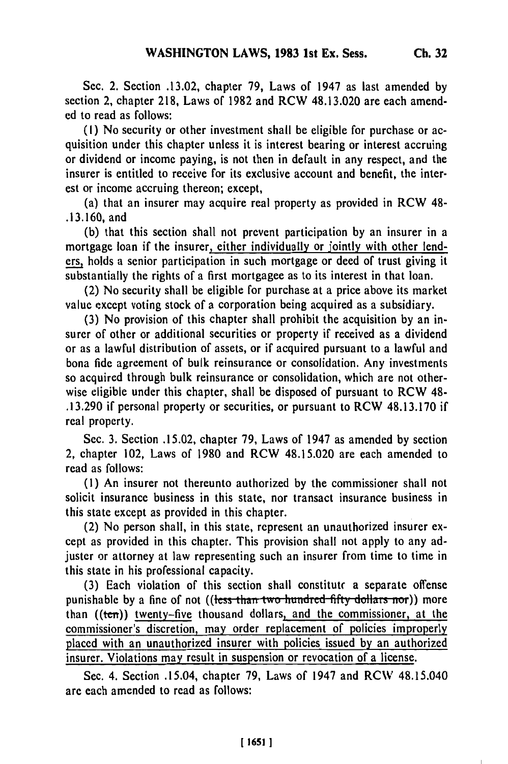Sec. 2. Section .13.02, chapter 79, Laws of 1947 as last amended **by** section 2, chapter 218, Laws of 1982 and RCW 48.13.020 are each amended to read as follows:

**(1)** No security or other investment shall be eligible for purchase or acquisition under this chapter unless it is interest bearing or interest accruing or dividend or income paying, is not then in default in any respect, and the insurer is entitled to receive for its exclusive account and benefit, the interest or income accruing thereon; except,

(a) that an insurer may acquire real property as provided in RCW 48- .13.160, and

(b) that this section shall not prevent participation by an insurer in a mortgage loan if the insurer, either individually or jointly with other lenders, holds a senior participation in such mortgage or deed of trust giving it substantially the rights of a first mortgagee as to its interest in that loan.

(2) No security shall be eligible for purchase at a price above its market value except voting stock of a corporation being acquired as a subsidiary.

**(3)** No provision of this chapter shall prohibit the acquisition by an insurer of other or additional securities or property if received as a dividend or as a lawful distribution of assets, or if acquired pursuant to a lawful and bona fide agreement of bulk reinsurance or consolidation. Any investments so acquired through bulk reinsurance or consolidation, which are not otherwise eligible under this chapter, shall be disposed of pursuant to RCW 48- .13.290 if personal property or securities, or pursuant to RCW 48.13.170 if real property.

Sec. 3. Section .15.02, chapter 79, Laws of 1947 as amended by section 2, chapter 102, Laws of 1980 and RCW 48.15.020 are each amended to read as follows:

(I) An insurer not thereunto authorized by the commissioner shall not solicit insurance business in this state, nor transact insurance business in this state except as provided in this chapter.

(2) No person shall, in this state, represent an unauthorized insurer except as provided in this chapter. This provision shall not apply to any adjuster or attorney at law representing such an insurer from time to time in this state in his professional capacity.

(3) Each violation of this section shall constitute a separate offense punishable by a fine of not ((tess than two hundred fifty dollars nor)) more than  $((*ten*))$  twenty-five thousand dollars, and the commissioner, at the commissioner's discretion, may order replacement of policies improperly placed with an unauthorized insurer with policies issued **by** an authorized insurer. Violations may result in suspension or revocation of a license.

Sec. 4. Section .15,04, chapter 79, Laws of 1947 and RC\V 48.15.040 are each amended to read as follows: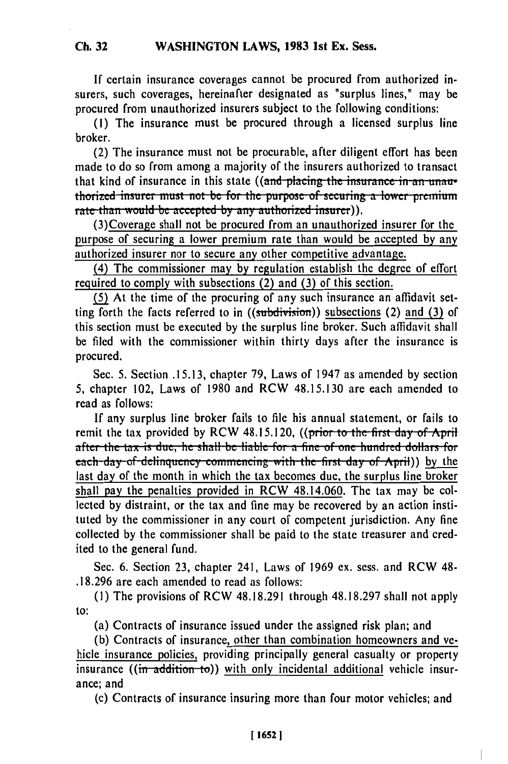**If** certain insurance coverages cannot be procured from authorized insurers, such coverages, hereinafter designated as "surplus lines," may be procured from unauthorized insurers subject to the following conditions:

(1) The insurance must be procured through a licensed surplus line broker.

(2) The insurance must not be procurable, after diligent effort has been made to do so from among a majority of the insurers authorized to transact that kind of insurance in this state ((and placing the insurance in an unau**interefferent** *insurer* must not be for the purpose of securing a lower premium rate than would be accepted by any authorized insurer)).

(3)Coverage shall not be procured from an unauthorized insurer for the purpose of securing a lower premium rate than would be accepted by any authorized insurer nor to secure any other competitive advantage.

(4) The commissioner may **by** regulation establish the degree of effort required to comply with subsections (2) and **(3)** of this section.

**(5)** At the time of the procuring of any such insurance an affidavit setting forth the facts referred to in  $((subdivision))$  subsections (2) and (3) of this section must be executed by the surplus line broker. Such affidavit shall be filed with the commissioner within thirty days after the insurance is procured.

Sec. 5. Section .15.13, chapter 79, Laws of 1947 as amended by section 5, chapter 102, Laws of 1980 and RCW 48.15.130 are each amended to read as follows:

If any surplus line broker fails to file his annual statement, or fails to remit the tax provided by RCW 48.15.120, ((prior to the first day of April after the tax is due, he shall be liable for a fine of one hundred dollars for after the tax is due, he shall be hable for a lift of one hundred donars for<br>each-day of delinquency commencing with the first day of April)) by the last day of the month in which the tax becomes due, the surplus line broker shall pay the penalties provided in RCW 48.14.060. The tax may be collected by distraint, or the tax and fine may be recovered by an action instituted by the commissioner in any court of competent jurisdiction. Any fine collected by the commissioner shall be paid to the state treasurer and credited to the general fund.

Sec. 6. Section 23, chapter 241, Laws of 1969 ex. sess. and RCW 48- .18.296 are each amended to read as follows:

**(1)** The provisions of RCW 48.18.291 through 48.18.297 shall not apply to:

(a) Contracts of insurance issued under the assigned risk plan; and

(b) Contracts of insurance, other than combination homeowners and vehicle insurance policies, providing principally general casualty or property insurance ((in addition to)) with only incidental additional vehicle insurance; and

(c) Contracts of insurance insuring more than four motor vehicles; and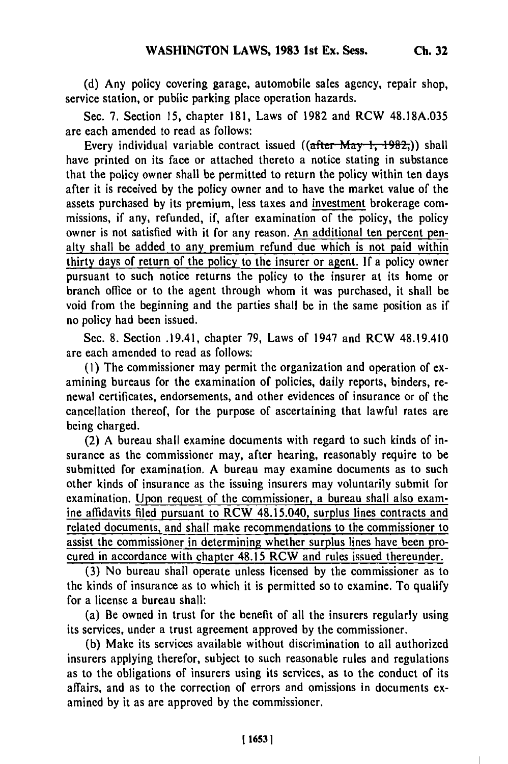**(d)** Any policy covering garage, automobile sales agency, repair shop, service station, or public parking place operation hazards.

Sec. 7. Section **15,** chapter **181,** Laws of **1982** and RCW 48.18A.035 are each amended to read as follows:

Every individual variable contract issued ((after May 1, 1982,)) shall have printed on its face or attached thereto a notice stating in substance that the policy owner shall be permitted to return the policy within ten days after it is received **by** the policy owner and to have the market value of the assets purchased by its premium, less taxes and investment brokerage commissions, if any, refunded, if, after examination of the policy, the policy owner is not satisfied with it for any reason. An additional ten percent penalty shall be added to any premium refund due which is not paid within thirty days of return of the policy to the insurer or agent. **If** a policy owner pursuant to such notice returns the policy to the insurer at its home or branch office or to the agent through whom it was purchased, it shall be void from the beginning and the parties shall be in the same position as if no policy had been issued.

Sec. 8. Section .19.41, chapter 79, Laws of 1947 and RCW 48.19.410 are each amended to read as follows:

**(1)** The commissioner may permit the organization and operation of examining bureaus for the examination of policies, daily reports, binders, renewal certificates, endorsements, and other evidences of insurance or of the cancellation thereof, for the purpose of ascertaining that lawful rates are being charged.

(2) A bureau shall examine documents with regard to such kinds of insurance as the commissioner may, after hearing, reasonably require to be submitted for examination. A bureau may examine documents as to such other kinds of insurance as the issuing insurers may voluntarily submit for examination. Upon request of the commissioner, a bureau shall also examine affidavits filed pursuant to RCW 48.15.040, surplus lines contracts and related documents, and shall make recommendations to the commissioner to assist the commissioner in determining whether surplus lines have been procured in accordance with chapter 48.15 RCW and rules issued thereunder.

**(3)** No bureau shall operate unless licensed **by** the commissioner as to the kinds of insurance as to which it is permitted so to examine. To qualify for a license a bureau shall:

(a) Be owned in trust for the benefit of all the insurers regularly using its services, under a trust agreement approved **by** the commissioner.

**(b)** Make its services available without discrimination to all authorized insurers applying therefor, subject to such reasonable rules and regulations as to the obligations of insurers using its services, as to the conduct of its affairs, and as to the correction of errors and omissions in documents examined **by** it as are approved by the commissioner.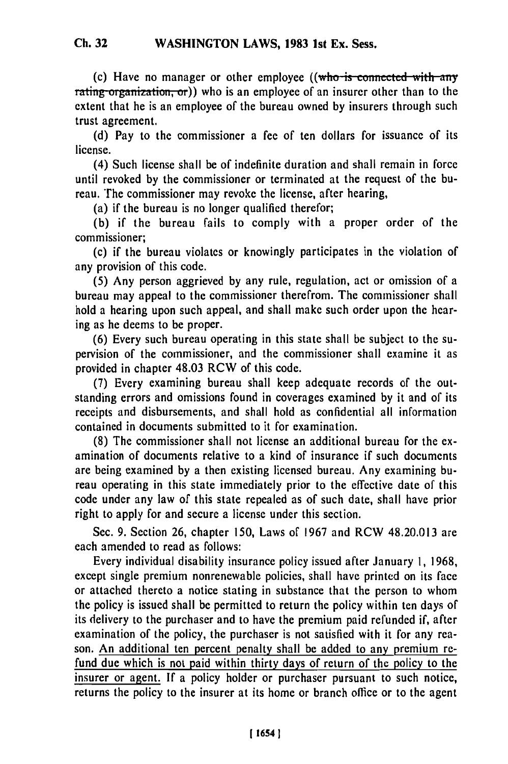(c) Have no manager or other employee ((who is connected with any rating organization, or)) who is an employee of an insurer other than to the extent that he is an employee of the bureau owned **by** insurers through such trust agreement.

**(d)** Pay to the commissioner a fee of ten dollars for issuance of its license.

(4) Such license shall be of indefinite duration and shall remain in force until revoked **by** the commissioner or terminated at the request of the bureau. The commissioner may revoke the license, after hearing,

(a) if the bureau is no longer qualified therefor;

(b) if the bureau fails to comply with a proper order of the commissioner;

(c) if the bureau violates or knowingly participates in the violation of any provision of this code.

(5) Any person aggrieved **by** any rule, regulation, act or omission of a bureau may appeal to the commissioner therefrom. The commissioner shall hold a hearing upon such appeal, and shall make such order upon the hearing as he deems to be proper.

(6) Every such bureau operating in this state shall be subject to the supervision of the commissioner, and the commissioner shall examine it as provided in chapter 48.03 RCW of this code.

(7) Every examining bureau shall keep adequate records of the outstanding errors and omissions found in coverages examined by it and of its receipts and disbursements, and shall hold as confidential all information contained in documents submitted to it for examination.

(8) The commissioner shall not license an additional bureau for the examination of documents relative to a kind of insurance if such documents are being examined by a then existing licensed bureau. Any examining bureau operating in this state immediately prior to the effective date of this code under any law of this state repealed as of such date, shall have prior right to apply for and secure a license under this section.

Sec. 9. Section 26, chapter 150, Laws of 1967 and RCW 48.20.013 are each amended to read as follows:

Every individual disability insurance policy issued after January **1,** 1968, except single premium nonrenewable policies, shall have printed on its face or attached thereto a notice stating in substance that the person to whom the policy is issued shall be permitted to return the policy within ten days of its delivery to the purchaser and to have the premium paid refunded if, after examination of the policy, the purchaser is not satisfied with it for any reason. An additional ten percent penalty shall be added to any premium refund due which is not paid within thirty days of return of the policy to the insurer or agent. **If** a policy holder or purchaser pursuant to such notice, returns the policy to the insurer at its home or branch office or to the agent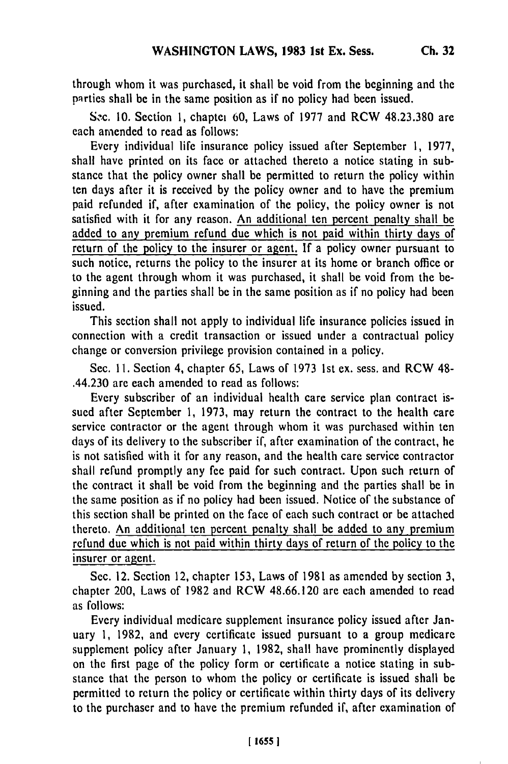through whom it was purchased, it shall be void from the beginning and the parties shall be in the same position as if no policy had been issued.

S.c. 10. Section 1, chaptei 60, Laws of 1977 and RCW 48.23.380 are each amended to read as follows:

Every individual life insurance policy issued after September 1, 1977, shall have printed on its face or attached thereto a notice stating in substance that the policy owner shall be permitted to return the policy within ten days after it is received by the policy owner and to have the premium paid refunded if, after examination of the policy, the policy owner is not satisfied with it for any reason. An additional ten percent penalty shall be added to any premium refund due which is not paid within thirty days of return of the policy to the insurer or agent. If a policy owner pursuant to such notice, returns the policy to the insurer at its home or branch office or to the agent through whom it was purchased, it shall be void from the beginning and the parties shall be in the same position as if no policy had been issued.

This section shall not apply to individual life insurance policies issued in connection with a credit transaction or issued under a contractual policy change or conversion privilege provision contained in a policy.

Sec. **11.** Section 4, chapter 65, Laws of 1973 1st ex. sess. and RCW 48- .44.230 are each amended to read as follows:

Every subscriber of an individual health care service plan contract issued after September 1, 1973, may return the contract to the health care service contractor or the agent through whom it was purchased within ten days of its delivery to the subscriber if, after examination of the contract, he is not satisfied with it for any reason, and the health care service contractor shall refund promptly any fee paid for such contract. Upon such return of the contract it shall be void from the beginning and the parties shall be in the same position as if no policy had been issued. Notice of the substance of this section shall be printed on the face of each such contract or be attached thereto. An additional ten percent penalty shall be added to any premium refund due which is not paid within thirty days of return of the policy to the insurer or agent.

Sec. 12. Section 12, chapter 153, Laws of 1981 as amended by section 3, chapter 200, Laws of 1982 and RCW 48.66.120 are each amended to read as follows:

Every individual medicare supplement insurance policy issued after January 1, 1982, and every certificate issued pursuant to a group medicare supplement policy after January 1, 1982, shall have prominently displayed on the first page of the policy form or certificate a notice stating in substance that the person to whom the policy or certificate is issued shall be permitted to return the policy or certificate within thirty days of its delivery to the purchaser and to have the premium refunded if, after examination of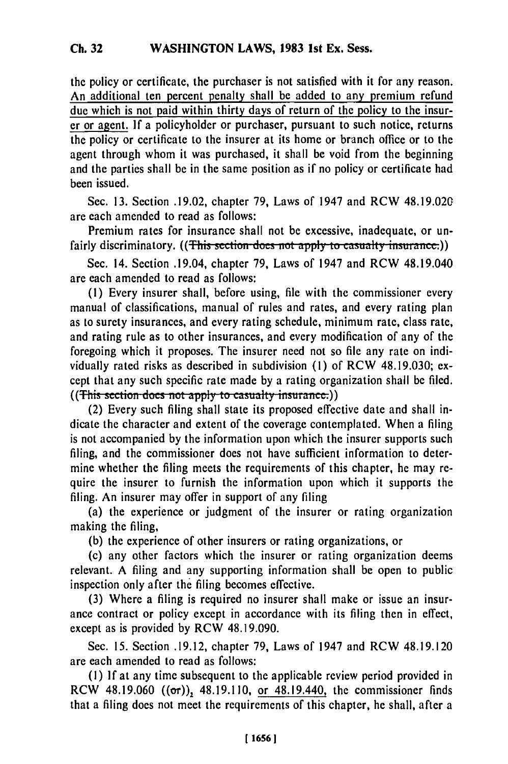the policy or certificate, the purchaser is not satisfied with it for any reason. An additional ten percent penalty shall be added to any premium refund due which is not paid within thirty days of return of the policy to the insurer or agent. **If** a policyholder or purchaser, pursuant to such notice, returns the policy or certificate to the insurer at its home or branch office or to the agent through whom it was purchased, it shall be void from the beginning and the parties shall be in the same position as if no policy or certificate had been issued.

Sec. 13. Section .19.02, chapter 79, Laws of 1947 and RCW 48.19.020 are each amended to read as follows:

Premium rates for insurance shall not be excessive, inadequate, or unfairly discriminatory. ((This section does not apply to casualty insurance.))

Sec. 14. Section .19.04, chapter 79, Laws of 1947 and RCW 48.19.040 are each amended to read as follows:

**(1)** Every insurer shall, before using, file with the commissioner every manual of classifications, manual of rules and rates, and every rating plan as to surety insurances, and every rating schedule, minimum rate, class rate, and rating rule as to other insurances, and every modification of any of the foregoing which it proposes. The insurer need not so file any rate on individually rated risks as described in subdivision (1) of RCW 48.19.030; except that any such specific rate made by a rating organization shall be filed. ((This section does not apply to casualty insurance.))

(2) Every such filing shall state its proposed effective date and shall indicate the character and extent of the coverage contemplated. When a filing is not accompanied by the information upon which the insurer supports such filing, and the commissioner does not have sufficient information to determine whether the filing meets the requirements of this chapter, he may require the insurer to furnish the information upon which it supports the filing. An insurer may offer in support of any filing

(a) the experience or judgment of the insurer or rating organization making the filing,

(b) the experience of other insurers or rating organizations, or

(c) any other factors which the insurer or rating organization deems relevant. A filing and any supporting information shall be open to public inspection only after the filing becomes effective.

(3) Where a filing is required no insurer shall make or issue an insurance contract or policy except in accordance with its filing then in effect, except as is provided by RCW 48.19.090.

Sec. 15. Section .19.12, chapter 79, Laws of 1947 and RCW 48.19.120 are each amended to read as follows:

(1) If at any time subsequent to the applicable review period provided in RCW 48.19.060  $((\sigma r))$ , 48.19.110, or 48.19.440, the commissioner finds that a filing does not meet the requirements of this chapter, he shall, after a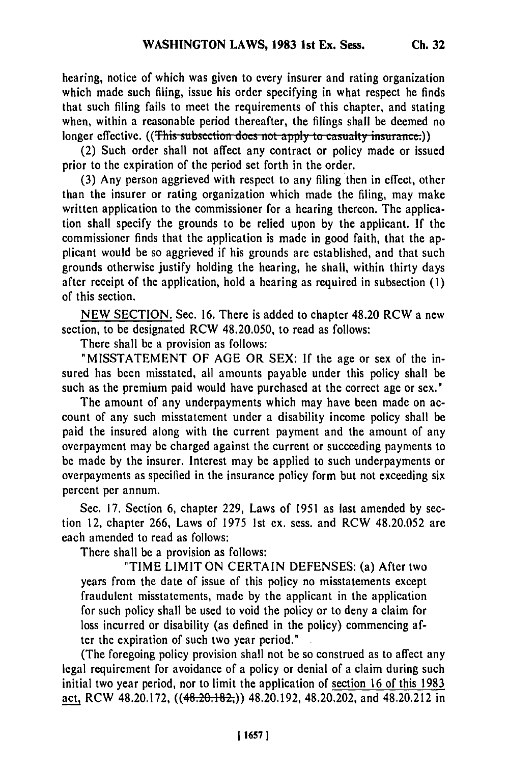hearing, notice of which was given to every insurer and rating organization which made such filing, issue his order specifying in what respect he finds that such filing fails to meet the requirements of this chapter, and stating when, within a reasonable period thereafter, the filings shall be deemed no longer effective. ((This subsection does not apply to casualty insurance.))

(2) Such order shall not affect any contract or policy made or issued prior to the expiration of the period set forth in the order.

(3) Any person aggrieved with respect to any filing then in effect, other than the insurer or rating organization which made the filing, may make written application to the commissioner for a hearing thereon. The application shall specify the grounds to be relied upon by the applicant. If the commissioner finds that the application is made in good faith, that the applicant would be so aggrieved if his grounds are established, and that such grounds otherwise justify holding the hearing, he shall, within thirty days after receipt of the application, hold a hearing as required in subsection (1) of this section.

NEW SECTION. Sec. 16. There is added to chapter 48.20 RCW a new section, to be designated RCW 48.20.050, to read as follows:

There shall be a provision as follows:

"MISSTATEMENT OF AGE OR SEX: If the age or sex of the insured has been misstated, all amounts payable under this policy shall be such as the premium paid would have purchased at the correct age or sex."

The amount of any underpayments which may have been made on account of any such misstatement under a disability income policy shall be paid the insured along with the current payment and the amount of any overpayment may be charged against the current or succeeding payments to be made by the insurer. Interest may be applied to such underpayments or overpayments as specified in the insurance policy form but not exceeding six percent per annum.

Sec. 17. Section 6, chapter 229, Laws of 1951 as last amended by section 12, chapter 266, Laws of 1975 1st ex. sess. and RCW 48.20.052 are each amended to read as follows:

There shall be a provision as follows:

"TIME LIMIT ON CERTAIN DEFENSES: (a) After two years from the date of issue of this policy no misstatements except fraudulent misstatements, made by the applicant in the application for such policy shall be used to void the policy or to deny a claim for loss incurred or disability (as defined in the policy) commencing after the expiration of such two year period."

(The foregoing policy provision shall not be so construed as to affect any legal requirement for avoidance of a policy or denial of a claim during such initial two year period, nor to limit the application of section 16 of this 1983 act, RCW 48.20.172, ((48.20.182,)) 48.20.192, 48.20.202, and 48.20.212 in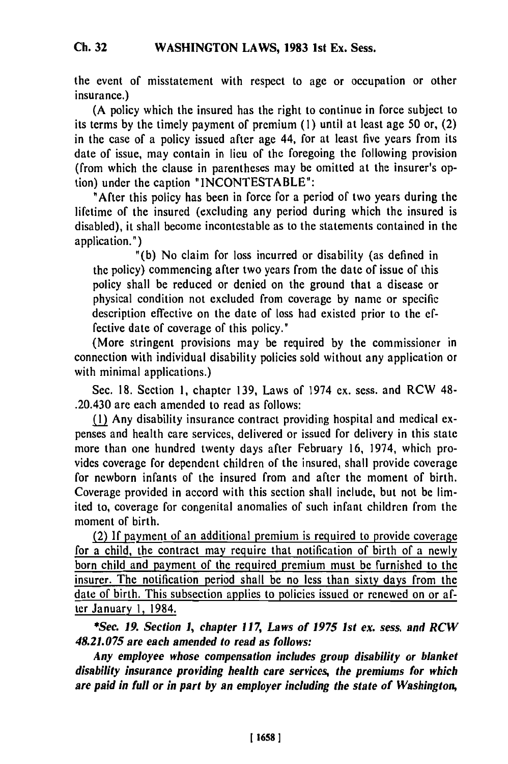the event of misstatement with respect to age or occupation or other insurance.)

(A policy which the insured has the right to continue in force subject to its terms **by** the timely payment of premium **(1)** until at least age **50** or, (2) in the case of a policy issued after age 44, for at least five years from its date of issue, may contain in lieu of the foregoing the following provision (from which the clause in parentheses may be omitted at the insurer's option) under the caption **"INCONTESTABLE":**

"After this policy has been in force for a period of two years during the lifetime of the insured (excluding any period during which the insured is disabled), it shall become incontestable as to the statements contained in the application.")

**"(b)** No claim for loss incurred or disability (as defined in the policy) commencing after two years from the date of issue of this policy shall be reduced or denied on the ground that a disease or physical condition not excluded from coverage **by** name or specific description effective on the date of loss had existed prior to the **ef**fective date of coverage of this policy."

(More stringent provisions may be required **by** the commissioner in connection with individual disability policies sold without any application or with minimal applications.)

Sec. **18.** Section **1,** chapter **139,** Laws of 1974 ex. sess. and RCW 48- .20.430 are each amended to read as follows:

**M1** Any disability insurance contract providing hospital and medical expenses and health care services, delivered or issued for delivery in this state more than one hundred twenty days after February **16,** 1974, which provides coverage for dependent children of the insured, shall provide coverage for newborn infants of the insured from and after the moment of birth. Coverage provided in accord with this section shall include, but not be limited to, coverage for congenital anomalies of such infant children from the moment of birth.

(2) If payment of an additional premium is required to provide coverage for a child, the contract may require that notification of birth of a newly born child and payment of the required premium must **be** furnished to the insurer. The notification period shall be no less than sixty days from the date of birth. This subsection applies to policies issued or renewed on or after January **1,** 1984.

*\*Sec. 19. Section 1, chapter 117, Laws of 1975 1st ex. sess. and RCW 48.21.075 are each amended to read as follows:*

*Any employee whose compensation includes group disability or blanket disability insurance providing health care services, the premiums for which are paid in full or in part by an employer including the state of Washington,*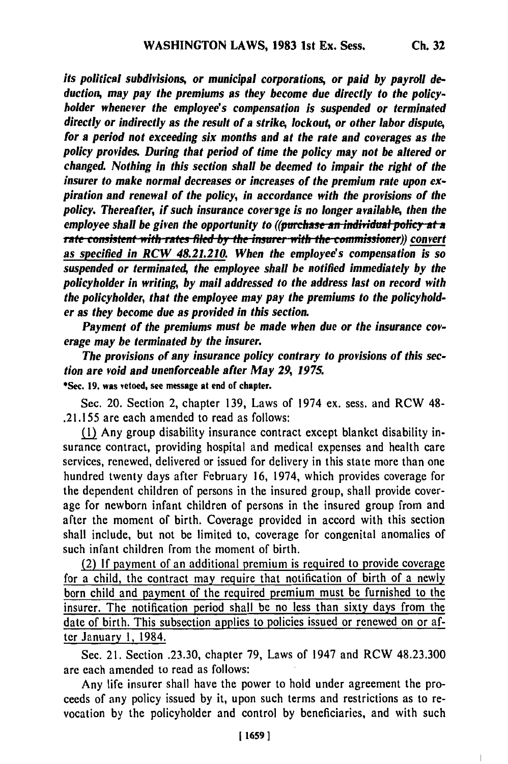*its political subdivisions, or municipal corporations, or paid by payroll deduction, may pay the premiums as they become due directly to the policyholder whenever the employee's compensation is suspended or terminated directly or indirectly as the result of a strike, lockou4 or other labor dispute, for a period not exceeding six months and at the rate and coverages as the policy provides. During that period of time the policy may not be altered or changed. Nothing in this section shall be deemed to impair the right of the insurer to make normal decreases or increases of the premium rate upon expiration and renewal of the policy, in accordance with the provisions of the policy. Thereafter, if such insurance coverige is no longer available, then the employee shall be given the opportunity to ((purchase an individual policy at a* **rate consistent with rates filed by the insurer with the commissioner)) convert** *as specified in RCW 48.21.210. When the employee's compensation is so suspended or terminate4 the employee shall be notified immediately by the policyholder in writing, by mail addressed to the address last on record with the policyholder, that the employee may pay the premiums to the policyholder as they become due as provided in this section.*

*Payment of the premiums must be made when due or the insurance coverage may be terminated by the insurer.*

*The provisions of any insurance policy contrary to provisions of this section are void and unenforceable after May 29, 1975.* \*Sec. **19.** was vetoed, see message at end or chapter.

Sec. 20. Section 2, chapter 139, Laws of 1974 ex. sess. and RCW 48- .21.155 are each amended to read as follows:

(1 Any group disability insurance contract except blanket disability insurance contract, providing hospital and medical expenses and health care services, renewed, delivered or issued for delivery in this state more than one hundred twenty days after February 16, 1974, which provides coverage for the dependent children of persons in the insured group, shall provide coverage for newborn infant children of persons in the insured group from and after the moment of birth. Coverage provided in accord with this section shall include, but not be limited to, coverage for congenital anomalies of such infant children from the moment of birth.

(2) If payment of an additional premium is required to provide coverage for a child, the contract may require that notification of birth of a newly born child and payment of the required premium must be furnished to the insurer. The notification period shall be no less than sixty days from the date of birth. This subsection applies to policies issued or renewed on or after January 1, 1984.

Sec. 21. Section .23.30, chapter 79, Laws of 1947 and RCW 48.23.300 are each amended to read as follows:

Any life insurer shall have the power to hold under agreement the proceeds of any policy issued by it, upon such terms and restrictions as to revocation by the policyholder and control by beneficiaries, and with such

 $\overline{1}$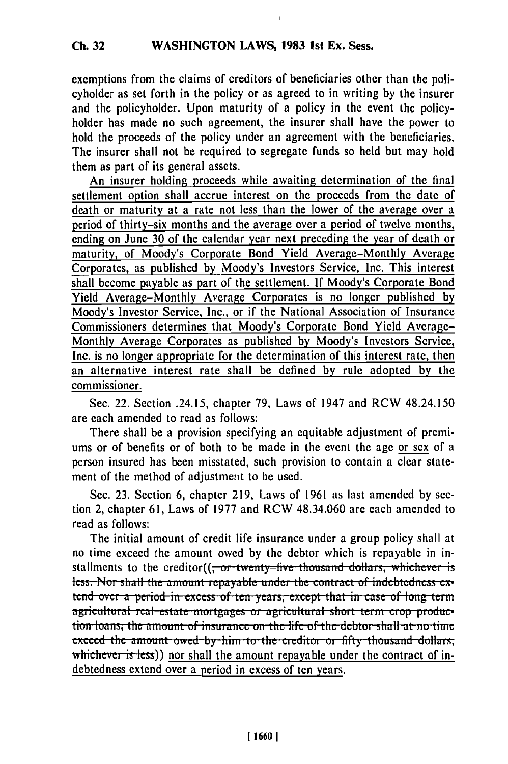exemptions from the claims of creditors of beneficiaries other than the policyholder as set forth in the policy or as agreed to in writing by the insurer and the policyholder. Upon maturity of a policy in the event the policyholder has made no such agreement, the insurer shall have the power to hold the proceeds of the policy under an agreement with the beneficiaries. The insurer shall not be required to segregate funds so held but may hold them as part of its general assets.

An insurer holding proceeds while awaiting determination of the final settlement option shall accrue interest on the proceeds from the date of death or maturity at a rate not less than the lower of the average over a period of thirty-six months and the average over a period of twelve months, ending on June 30 of the calendar year next preceding the year of death or maturity, of Moody's Corporate Bond Yield Average-Monthly Average Corporates, as published by Moody's Investors Service, Inc. This interest shall become payable as part of the settlement. If Moody's Corporate Bond Yield Average-Monthly Average Corporates is no longer published by Moody's Investor Service, Inc., or if the National Association of Insurance Commissioners determines that Moody's Corporate Bond Yield Average-Monthly Average Corporates as published **by** Moody's Investors Service, Inc. is no longer appropriate for the determination of this interest rate, then an alternative interest rate shall be defined by rule adopted by the commissioner.

Sec. 22. Section .24.15, chapter 79, Laws of 1947 and RCW 48.24.150 are each amended to read as follows:

There shall be a provision specifying an equitable adjustment of premiums or of benefits or of both to be made in the event the age or sex of a person insured has been misstated, such provision to contain a clear statement of the method of adjustment to be used.

Sec. 23. Section 6, chapter 219, Laws of 1961 as last amended by section 2, chapter 61, Laws of 1977 and RCW 48.34.060 are each amended to read as follows:

The initial amount of credit life insurance under a group policy shall at no time exceed the amount owed by the debtor which is repayable in installments to the creditor((<del>, or twenty-five thousand dollars, whichever is</del> **less.** Nor shall the amount repayable under the contract of indebtedness ex**lend over a period in excess of ten years, except that in case of long term** agricultural real estate mortgages or agricultural short term crop producagricultural real estate mortgages or agricultural short term crop prod.<br>tion loans, the amount of insurance on the life of the debtor shall at no ti **exceed the amount owed by him to the creditor or fifty thousand dollars,** whichever is less)) nor shall the amount repayable under the contract of indebtedness extend over a period in excess of ten years.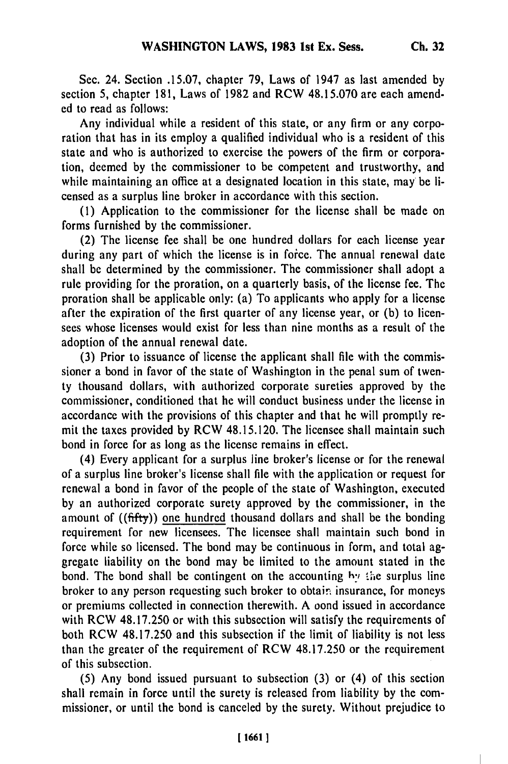Sec. 24. Section .15.07, chapter 79, Laws of 1947 as last amended by section 5, chapter 181, Laws of 1982 and RCW 48.15.070 are each amended to read as follows:

Any individual while a resident of this state, or any firm or any corporation that has in its employ a qualified individual who is a resident of this state and who is authorized to exercise the powers of the firm or corporation, deemed by the commissioner to be competent and trustworthy, and while maintaining an office at a designated location in this state, may be licensed as a surplus line broker in accordance with this section.

(1) Application to the commissioner for the license shall be made on forms furnished by the commissioner.

(2) The license fee shall be one hundred dollars for each license year during any part of which the license is in force. The annual renewal date shall be determined by the commissioner. The commissioner shall adopt a rule providing for the proration, on a quarterly basis, of the license fee. The proration shall be applicable only: (a) To applicants who apply for a license after the expiration of the first quarter of any license year, or (b) to licensees whose licenses would exist for less than nine months as a result of the adoption of the annual renewal date.

(3) Prior to issuance of license the applicant shall file with the commissioner a bond in favor of the state of Washington in the penal sum of twenty thousand dollars, with authorized corporate sureties approved by the commissioner, conditioned that he will conduct business under the license in accordance with the provisions of this chapter and that he will promptly remit the taxes provided by RCW 48.15.120. The licensee shall maintain such bond in force for as long as the license remains in effect.

(4) Every applicant for a surplus line broker's license or for the renewal of a surplus line broker's license shall file with the application or request for renewal a bond in favor of the people of the state of Washington, executed by an authorized corporate surety approved by the commissioner, in the amount of ((ffty)) one hundred thousand dollars and shall be the bonding requirement for new licensees. The licensee shall maintain such bond in force while so licensed. The bond may be continuous in form, and total aggregate liability on the bond may be limited to the amount stated in the bond. The bond shall be contingent on the accounting hy the surplus line broker to any person requesting such broker to obtain insurance, for moneys or premiums collected in connection therewith. A oond issued in accordance with RCW 48.17.250 or with this subsection will satisfy the requirements of both RCW 48.17.250 and this subsection if the limit of liability is not less than the greater of the requirement of RCW 48.17.250 or the requirement of this subsection.

(5) Any bond issued pursuant to subsection (3) or (4) of this section shall remain in force until the surety is released from liability by the commissioner, or until the bond is canceled by the surety. Without prejudice to